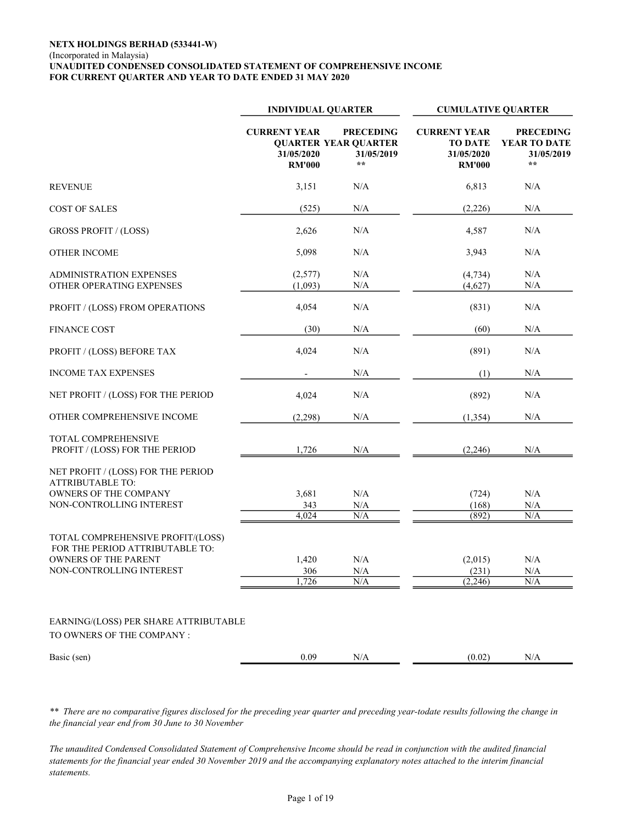#### NETX HOLDINGS BERHAD (533441-W) (Incorporated in Malaysia) UNAUDITED CONDENSED CONSOLIDATED STATEMENT OF COMPREHENSIVE INCOME FOR CURRENT QUARTER AND YEAR TO DATE ENDED 31 MAY 2020

|                                                                                        | <b>INDIVIDUAL QUARTER</b>                          |                                                                               | <b>CUMULATIVE QUARTER</b>                                            |                                                                |  |
|----------------------------------------------------------------------------------------|----------------------------------------------------|-------------------------------------------------------------------------------|----------------------------------------------------------------------|----------------------------------------------------------------|--|
|                                                                                        | <b>CURRENT YEAR</b><br>31/05/2020<br><b>RM'000</b> | <b>PRECEDING</b><br><b>QUARTER YEAR QUARTER</b><br>31/05/2019<br>$\star\star$ | <b>CURRENT YEAR</b><br><b>TO DATE</b><br>31/05/2020<br><b>RM'000</b> | <b>PRECEDING</b><br>YEAR TO DATE<br>31/05/2019<br>$\star\star$ |  |
| <b>REVENUE</b>                                                                         | 3,151                                              | N/A                                                                           | 6,813                                                                | N/A                                                            |  |
| <b>COST OF SALES</b>                                                                   | (525)                                              | N/A                                                                           | (2,226)                                                              | N/A                                                            |  |
| <b>GROSS PROFIT / (LOSS)</b>                                                           | 2,626                                              | N/A                                                                           | 4,587                                                                | N/A                                                            |  |
| <b>OTHER INCOME</b>                                                                    | 5,098                                              | N/A                                                                           | 3,943                                                                | N/A                                                            |  |
| <b>ADMINISTRATION EXPENSES</b><br>OTHER OPERATING EXPENSES                             | (2,577)<br>(1,093)                                 | N/A<br>$\rm N/A$                                                              | (4, 734)<br>(4,627)                                                  | N/A<br>N/A                                                     |  |
| PROFIT / (LOSS) FROM OPERATIONS                                                        | 4,054                                              | N/A                                                                           | (831)                                                                | N/A                                                            |  |
| <b>FINANCE COST</b>                                                                    | (30)                                               | N/A                                                                           | (60)                                                                 | N/A                                                            |  |
| PROFIT / (LOSS) BEFORE TAX                                                             | 4,024                                              | N/A                                                                           | (891)                                                                | N/A                                                            |  |
| <b>INCOME TAX EXPENSES</b>                                                             |                                                    | N/A                                                                           | (1)                                                                  | N/A                                                            |  |
| NET PROFIT / (LOSS) FOR THE PERIOD                                                     | 4,024                                              | N/A                                                                           | (892)                                                                | N/A                                                            |  |
| OTHER COMPREHENSIVE INCOME                                                             | (2,298)                                            | N/A                                                                           | (1, 354)                                                             | N/A                                                            |  |
| <b>TOTAL COMPREHENSIVE</b><br>PROFIT / (LOSS) FOR THE PERIOD                           | 1,726                                              | $\rm N/A$                                                                     | (2,246)                                                              | N/A                                                            |  |
| NET PROFIT / (LOSS) FOR THE PERIOD<br><b>ATTRIBUTABLE TO:</b><br>OWNERS OF THE COMPANY |                                                    | N/A                                                                           |                                                                      | N/A                                                            |  |
| NON-CONTROLLING INTEREST                                                               | 3,681<br>343<br>4,024                              | $\rm N/A$<br>N/A                                                              | (724)<br>(168)<br>(892)                                              | $\rm N/A$<br>N/A                                               |  |
| TOTAL COMPREHENSIVE PROFIT/(LOSS)<br>FOR THE PERIOD ATTRIBUTABLE TO:                   |                                                    |                                                                               |                                                                      |                                                                |  |
| <b>OWNERS OF THE PARENT</b><br>NON-CONTROLLING INTEREST                                | 1,420<br>306<br>1,726                              | N/A<br>$\rm N/A$<br>N/A                                                       | (2,015)<br>(231)<br>(2,246)                                          | N/A<br>$\rm N/A$<br>N/A                                        |  |
| EARNING/(LOSS) PER SHARE ATTRIBUTABLE<br>TO OWNERS OF THE COMPANY :                    |                                                    |                                                                               |                                                                      |                                                                |  |
| Basic (sen)                                                                            | 0.09                                               | $\rm N/A$                                                                     | (0.02)                                                               | N/A                                                            |  |

\*\* There are no comparative figures disclosed for the preceding year quarter and preceding year-todate results following the change in the financial year end from 30 June to 30 November

The unaudited Condensed Consolidated Statement of Comprehensive Income should be read in conjunction with the audited financial statements for the financial year ended 30 November 2019 and the accompanying explanatory notes attached to the interim financial statements.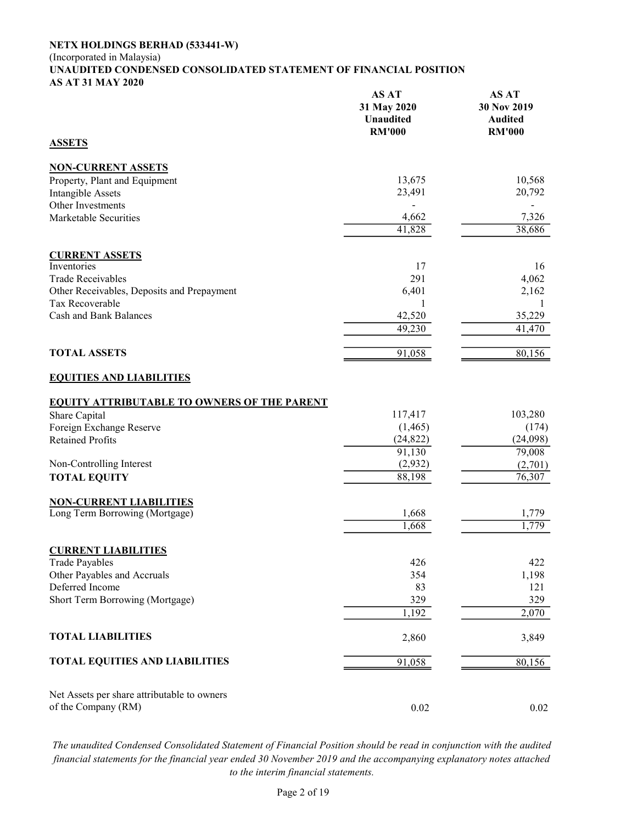#### NETX HOLDINGS BERHAD (533441-W) (Incorporated in Malaysia) UNAUDITED CONDENSED CONSOLIDATED STATEMENT OF FINANCIAL POSITION AS AT 31 MAY 2020

| <b>ASSETS</b>                                      | AS AT<br>31 May 2020<br><b>Unaudited</b><br><b>RM'000</b> | AS AT<br>30 Nov 2019<br><b>Audited</b><br><b>RM'000</b> |
|----------------------------------------------------|-----------------------------------------------------------|---------------------------------------------------------|
|                                                    |                                                           |                                                         |
| <b>NON-CURRENT ASSETS</b>                          | 13,675                                                    | 10,568                                                  |
| Property, Plant and Equipment                      | 23,491                                                    | 20,792                                                  |
| <b>Intangible Assets</b><br>Other Investments      |                                                           |                                                         |
| Marketable Securities                              | 4,662                                                     | 7,326                                                   |
|                                                    | 41,828                                                    | 38,686                                                  |
|                                                    |                                                           |                                                         |
| <b>CURRENT ASSETS</b>                              |                                                           |                                                         |
| Inventories                                        | 17                                                        | 16                                                      |
| <b>Trade Receivables</b>                           | 291                                                       | 4,062                                                   |
| Other Receivables, Deposits and Prepayment         | 6,401                                                     | 2,162                                                   |
| Tax Recoverable                                    | 1                                                         | 1                                                       |
| <b>Cash and Bank Balances</b>                      | 42,520                                                    | 35,229                                                  |
|                                                    | 49,230                                                    | 41,470                                                  |
| <b>TOTAL ASSETS</b>                                | 91,058                                                    | 80,156                                                  |
| <b>EQUITIES AND LIABILITIES</b>                    |                                                           |                                                         |
| <b>EQUITY ATTRIBUTABLE TO OWNERS OF THE PARENT</b> |                                                           |                                                         |
| Share Capital                                      | 117,417                                                   | 103,280                                                 |
| Foreign Exchange Reserve                           | (1, 465)                                                  | (174)                                                   |
| <b>Retained Profits</b>                            | (24, 822)                                                 | (24,098)                                                |
|                                                    | 91,130                                                    | 79,008                                                  |
| Non-Controlling Interest                           | (2,932)                                                   | (2,701)                                                 |
| <b>TOTAL EQUITY</b>                                | 88,198                                                    | 76,307                                                  |
| <b>NON-CURRENT LIABILITIES</b>                     |                                                           |                                                         |
| Long Term Borrowing (Mortgage)                     | 1,668                                                     | 1,779                                                   |
|                                                    | 1,668                                                     | 1,779                                                   |
|                                                    |                                                           |                                                         |
| <b>CURRENT LIABILITIES</b>                         |                                                           |                                                         |
| <b>Trade Payables</b>                              | 426                                                       | 422                                                     |
| Other Payables and Accruals                        | 354                                                       | 1,198                                                   |
| Deferred Income                                    | 83                                                        | 121                                                     |
| Short Term Borrowing (Mortgage)                    | 329                                                       | 329<br>2,070                                            |
|                                                    | 1,192                                                     |                                                         |
| <b>TOTAL LIABILITIES</b>                           | 2,860                                                     | 3,849                                                   |
| <b>TOTAL EQUITIES AND LIABILITIES</b>              | 91,058                                                    | 80,156                                                  |
| Net Assets per share attributable to owners        |                                                           |                                                         |
| of the Company (RM)                                | 0.02                                                      | 0.02                                                    |

The unaudited Condensed Consolidated Statement of Financial Position should be read in conjunction with the audited financial statements for the financial year ended 30 November 2019 and the accompanying explanatory notes attached to the interim financial statements.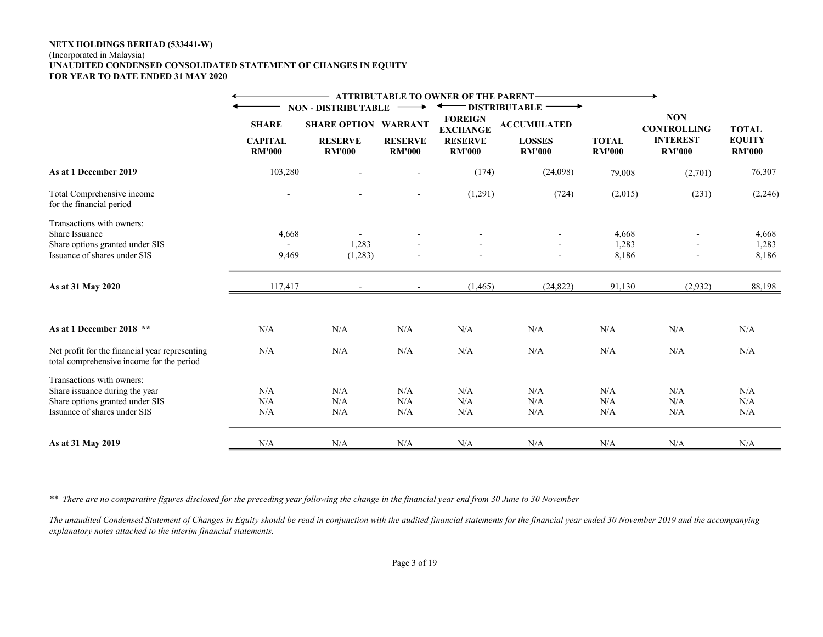#### NETX HOLDINGS BERHAD (533441-W) (Incorporated in Malaysia) UNAUDITED CONDENSED CONSOLIDATED STATEMENT OF CHANGES IN EQUITY FOR YEAR TO DATE ENDED 31 MAY 2020

|                                                                                             |                                 |                                 |                                 | <b>ATTRIBUTABLE TO OWNER OF THE PARENT-</b> |                                                         |                               |                                  |                                |
|---------------------------------------------------------------------------------------------|---------------------------------|---------------------------------|---------------------------------|---------------------------------------------|---------------------------------------------------------|-------------------------------|----------------------------------|--------------------------------|
|                                                                                             |                                 | <b>NON - DISTRIBUTABLE</b>      |                                 |                                             | <b>DISTRIBUTABLE</b>                                    |                               |                                  |                                |
|                                                                                             | <b>SHARE</b>                    |                                 | <b>SHARE OPTION WARRANT</b>     |                                             | <b>FOREIGN</b><br><b>ACCUMULATED</b><br><b>EXCHANGE</b> |                               | <b>NON</b><br><b>CONTROLLING</b> | <b>TOTAL</b>                   |
|                                                                                             | <b>CAPITAL</b><br><b>RM'000</b> | <b>RESERVE</b><br><b>RM'000</b> | <b>RESERVE</b><br><b>RM'000</b> | <b>RESERVE</b><br><b>RM'000</b>             | <b>LOSSES</b><br><b>RM'000</b>                          | <b>TOTAL</b><br><b>RM'000</b> | <b>INTEREST</b><br><b>RM'000</b> | <b>EQUITY</b><br><b>RM'000</b> |
| As at 1 December 2019                                                                       | 103,280                         |                                 |                                 | (174)                                       | (24,098)                                                | 79,008                        | (2,701)                          | 76,307                         |
| Total Comprehensive income<br>for the financial period                                      | $\sim$                          |                                 | $\overline{\phantom{a}}$        | (1,291)                                     | (724)                                                   | (2,015)                       | (231)                            | (2,246)                        |
| Transactions with owners:<br>Share Issuance<br>Share options granted under SIS              | 4,668                           | 1,283                           |                                 |                                             |                                                         | 4,668<br>1,283                |                                  | 4,668<br>1,283                 |
| Issuance of shares under SIS                                                                | 9,469                           | (1,283)                         |                                 |                                             |                                                         | 8,186                         |                                  | 8,186                          |
| As at 31 May 2020                                                                           | 117,417                         |                                 |                                 | (1, 465)                                    | (24, 822)                                               | 91,130                        | (2,932)                          | 88,198                         |
| As at 1 December 2018 **                                                                    | N/A                             | N/A                             | N/A                             | N/A                                         | N/A                                                     | N/A                           | N/A                              | N/A                            |
| Net profit for the financial year representing<br>total comprehensive income for the period | N/A                             | N/A                             | N/A                             | N/A                                         | N/A                                                     | N/A                           | N/A                              | N/A                            |
| Transactions with owners:                                                                   |                                 |                                 |                                 |                                             |                                                         |                               |                                  |                                |
| Share issuance during the year                                                              | N/A                             | N/A                             | N/A                             | N/A                                         | N/A                                                     | N/A                           | N/A                              | N/A                            |
| Share options granted under SIS                                                             | N/A                             | N/A                             | N/A                             | N/A                                         | N/A                                                     | $\rm N/A$                     | N/A                              | N/A                            |
| Issuance of shares under SIS                                                                | N/A                             | N/A                             | N/A                             | N/A                                         | N/A                                                     | N/A                           | N/A                              | N/A                            |
| As at 31 May 2019                                                                           | N/A                             | N/A                             | N/A                             | N/A                                         | N/A                                                     | N/A                           | N/A                              | N/A                            |

\*\* There are no comparative figures disclosed for the preceding year following the change in the financial year end from 30 June to 30 November

The unaudited Condensed Statement of Changes in Equity should be read in conjunction with the audited financial statements for the financial year ended 30 November 2019 and the accompanying explanatory notes attached to the interim financial statements.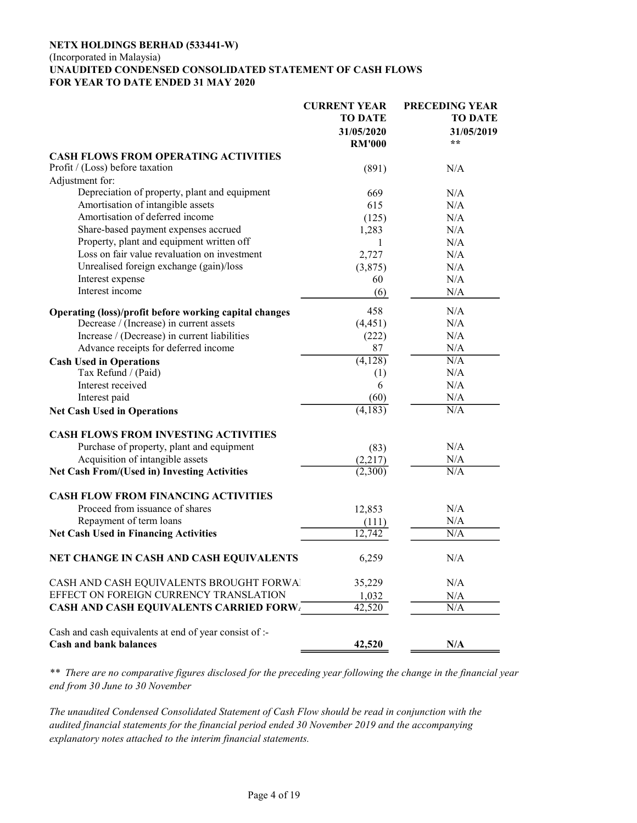#### NETX HOLDINGS BERHAD (533441-W) (Incorporated in Malaysia) UNAUDITED CONDENSED CONSOLIDATED STATEMENT OF CASH FLOWS FOR YEAR TO DATE ENDED 31 MAY 2020

|                                                                                         | <b>CURRENT YEAR</b> | <b>PRECEDING YEAR</b> |
|-----------------------------------------------------------------------------------------|---------------------|-----------------------|
|                                                                                         | <b>TO DATE</b>      | <b>TO DATE</b>        |
|                                                                                         | 31/05/2020          | 31/05/2019            |
|                                                                                         | <b>RM'000</b>       | $**$                  |
| <b>CASH FLOWS FROM OPERATING ACTIVITIES</b>                                             |                     |                       |
| Profit / (Loss) before taxation                                                         | (891)               | N/A                   |
| Adjustment for:                                                                         |                     |                       |
| Depreciation of property, plant and equipment                                           | 669                 | N/A                   |
| Amortisation of intangible assets                                                       | 615                 | N/A                   |
| Amortisation of deferred income                                                         | (125)               | N/A                   |
| Share-based payment expenses accrued                                                    | 1,283               | N/A                   |
| Property, plant and equipment written off                                               | 1                   | N/A                   |
| Loss on fair value revaluation on investment                                            | 2,727               | N/A                   |
| Unrealised foreign exchange (gain)/loss                                                 |                     |                       |
| Interest expense                                                                        | (3,875)             | N/A                   |
| Interest income                                                                         | 60                  | N/A                   |
|                                                                                         | (6)                 | N/A                   |
| Operating (loss)/profit before working capital changes                                  | 458                 | N/A                   |
| Decrease / (Increase) in current assets                                                 | (4, 451)            | N/A                   |
| Increase / (Decrease) in current liabilities                                            | (222)               | N/A                   |
| Advance receipts for deferred income                                                    | 87                  | N/A                   |
| <b>Cash Used in Operations</b>                                                          | (4,128)             | N/A                   |
| Tax Refund / (Paid)                                                                     | (1)                 | N/A                   |
| Interest received                                                                       | 6                   | N/A                   |
| Interest paid                                                                           | (60)                | N/A                   |
| <b>Net Cash Used in Operations</b>                                                      | (4,183)             | N/A                   |
| <b>CASH FLOWS FROM INVESTING ACTIVITIES</b>                                             |                     |                       |
| Purchase of property, plant and equipment                                               | (83)                | N/A                   |
| Acquisition of intangible assets                                                        | (2,217)             | N/A                   |
| <b>Net Cash From/(Used in) Investing Activities</b>                                     | (2,300)             | N/A                   |
| <b>CASH FLOW FROM FINANCING ACTIVITIES</b>                                              |                     |                       |
| Proceed from issuance of shares                                                         | 12,853              | N/A                   |
| Repayment of term loans                                                                 | (111)               | N/A                   |
| <b>Net Cash Used in Financing Activities</b>                                            | 12.742              | N/A                   |
| NET CHANGE IN CASH AND CASH EQUIVALENTS                                                 | 6,259               | N/A                   |
| CASH AND CASH EQUIVALENTS BROUGHT FORWAL                                                | 35,229              | N/A                   |
| EFFECT ON FOREIGN CURRENCY TRANSLATION                                                  | 1,032               | N/A                   |
| <b>CASH AND CASH EQUIVALENTS CARRIED FORW.</b>                                          | $\overline{42,520}$ | N/A                   |
| Cash and cash equivalents at end of year consist of :-<br><b>Cash and bank balances</b> | 42,520              | N/A                   |

\*\* There are no comparative figures disclosed for the preceding year following the change in the financial year end from 30 June to 30 November

The unaudited Condensed Consolidated Statement of Cash Flow should be read in conjunction with the audited financial statements for the financial period ended 30 November 2019 and the accompanying explanatory notes attached to the interim financial statements.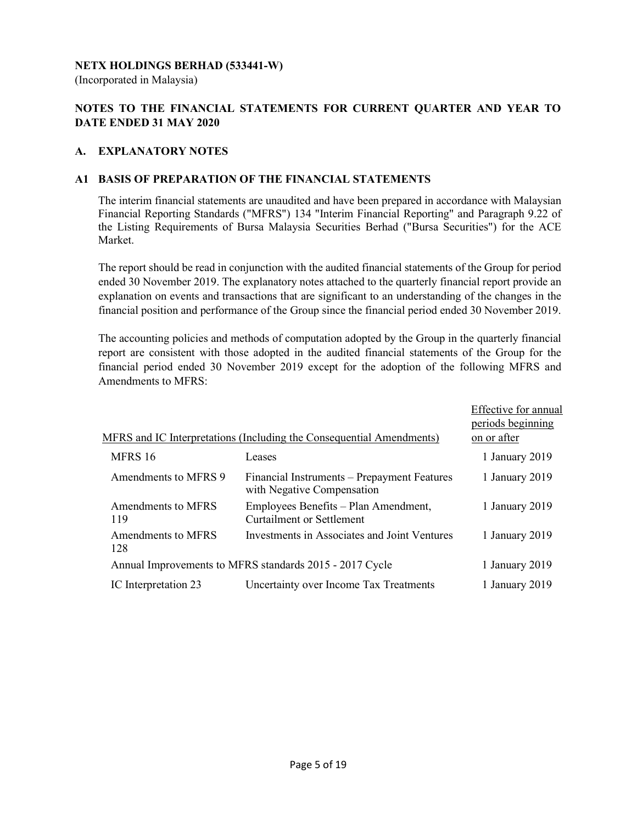## NETX HOLDINGS BERHAD (533441-W)

(Incorporated in Malaysia)

# NOTES TO THE FINANCIAL STATEMENTS FOR CURRENT QUARTER AND YEAR TO DATE ENDED 31 MAY 2020

## A. EXPLANATORY NOTES

#### A1 BASIS OF PREPARATION OF THE FINANCIAL STATEMENTS

 The interim financial statements are unaudited and have been prepared in accordance with Malaysian Financial Reporting Standards ("MFRS") 134 "Interim Financial Reporting" and Paragraph 9.22 of the Listing Requirements of Bursa Malaysia Securities Berhad ("Bursa Securities") for the ACE Market.

 The report should be read in conjunction with the audited financial statements of the Group for period ended 30 November 2019. The explanatory notes attached to the quarterly financial report provide an explanation on events and transactions that are significant to an understanding of the changes in the financial position and performance of the Group since the financial period ended 30 November 2019.

 The accounting policies and methods of computation adopted by the Group in the quarterly financial report are consistent with those adopted in the audited financial statements of the Group for the financial period ended 30 November 2019 except for the adoption of the following MFRS and Amendments to MFRS:

|                           |                                                                           | Effective for annual |
|---------------------------|---------------------------------------------------------------------------|----------------------|
|                           |                                                                           | periods beginning    |
|                           | MFRS and IC Interpretations (Including the Consequential Amendments)      | on or after          |
| MFRS 16                   | Leases                                                                    | 1 January 2019       |
| Amendments to MFRS 9      | Financial Instruments – Prepayment Features<br>with Negative Compensation | 1 January 2019       |
| Amendments to MFRS<br>119 | Employees Benefits - Plan Amendment,<br><b>Curtailment or Settlement</b>  | 1 January 2019       |
| Amendments to MFRS<br>128 | Investments in Associates and Joint Ventures                              | 1 January 2019       |
|                           | Annual Improvements to MFRS standards 2015 - 2017 Cycle                   | 1 January 2019       |
| IC Interpretation 23      | Uncertainty over Income Tax Treatments                                    | 1 January 2019       |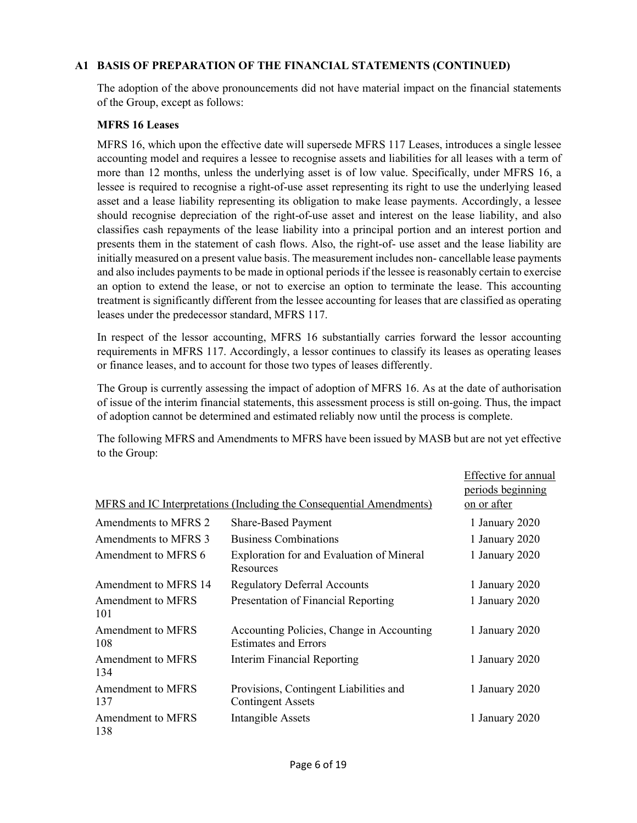## A1 BASIS OF PREPARATION OF THE FINANCIAL STATEMENTS (CONTINUED)

The adoption of the above pronouncements did not have material impact on the financial statements of the Group, except as follows:

#### MFRS 16 Leases

MFRS 16, which upon the effective date will supersede MFRS 117 Leases, introduces a single lessee accounting model and requires a lessee to recognise assets and liabilities for all leases with a term of more than 12 months, unless the underlying asset is of low value. Specifically, under MFRS 16, a lessee is required to recognise a right-of-use asset representing its right to use the underlying leased asset and a lease liability representing its obligation to make lease payments. Accordingly, a lessee should recognise depreciation of the right-of-use asset and interest on the lease liability, and also classifies cash repayments of the lease liability into a principal portion and an interest portion and presents them in the statement of cash flows. Also, the right-of- use asset and the lease liability are initially measured on a present value basis. The measurement includes non- cancellable lease payments and also includes payments to be made in optional periods if the lessee is reasonably certain to exercise an option to extend the lease, or not to exercise an option to terminate the lease. This accounting treatment is significantly different from the lessee accounting for leases that are classified as operating leases under the predecessor standard, MFRS 117.

In respect of the lessor accounting, MFRS 16 substantially carries forward the lessor accounting requirements in MFRS 117. Accordingly, a lessor continues to classify its leases as operating leases or finance leases, and to account for those two types of leases differently.

The Group is currently assessing the impact of adoption of MFRS 16. As at the date of authorisation of issue of the interim financial statements, this assessment process is still on-going. Thus, the impact of adoption cannot be determined and estimated reliably now until the process is complete.

The following MFRS and Amendments to MFRS have been issued by MASB but are not yet effective to the Group:

|                                 |                                                                          | Effective for annual |
|---------------------------------|--------------------------------------------------------------------------|----------------------|
|                                 |                                                                          | periods beginning    |
|                                 | MFRS and IC Interpretations (Including the Consequential Amendments)     | on or after          |
| Amendments to MFRS 2            | <b>Share-Based Payment</b>                                               | 1 January 2020       |
| Amendments to MFRS 3            | <b>Business Combinations</b>                                             | 1 January 2020       |
| Amendment to MFRS 6             | Exploration for and Evaluation of Mineral<br>Resources                   | 1 January 2020       |
| Amendment to MFRS 14            | <b>Regulatory Deferral Accounts</b>                                      | 1 January 2020       |
| Amendment to MFRS<br>101        | Presentation of Financial Reporting                                      | 1 January 2020       |
| Amendment to MFRS<br>108        | Accounting Policies, Change in Accounting<br><b>Estimates and Errors</b> | 1 January 2020       |
| <b>Amendment to MFRS</b><br>134 | <b>Interim Financial Reporting</b>                                       | 1 January 2020       |
| <b>Amendment to MFRS</b><br>137 | Provisions, Contingent Liabilities and<br><b>Contingent Assets</b>       | 1 January 2020       |
| <b>Amendment to MFRS</b><br>138 | <b>Intangible Assets</b>                                                 | 1 January 2020       |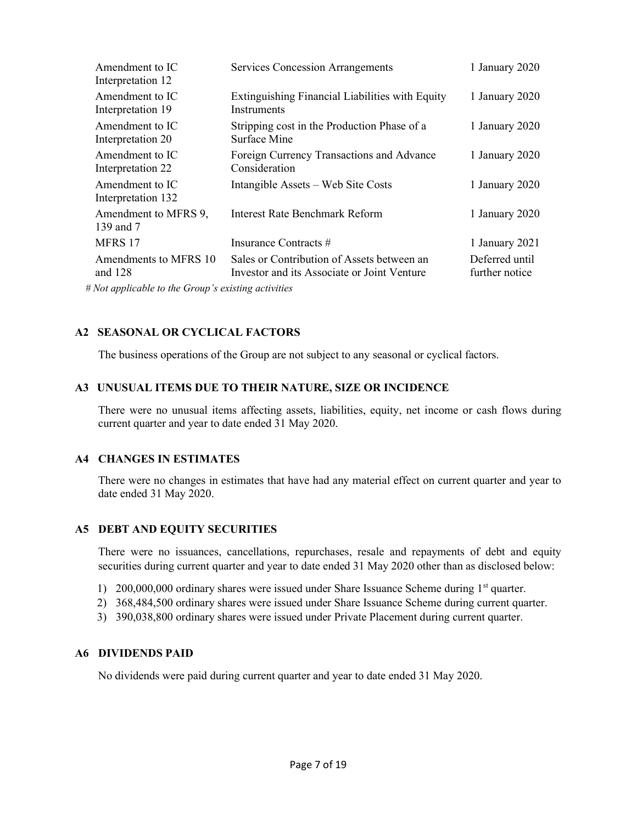| Amendment to IC<br>Interpretation 12                                                                             | <b>Services Concession Arrangements</b>                                                   | 1 January 2020                   |
|------------------------------------------------------------------------------------------------------------------|-------------------------------------------------------------------------------------------|----------------------------------|
| Amendment to IC<br>Interpretation 19                                                                             | Extinguishing Financial Liabilities with Equity<br>Instruments                            | 1 January 2020                   |
| Amendment to IC<br>Interpretation 20                                                                             | Stripping cost in the Production Phase of a<br>Surface Mine                               | 1 January 2020                   |
| Amendment to IC<br>Interpretation 22                                                                             | Foreign Currency Transactions and Advance<br>Consideration                                | 1 January 2020                   |
| Amendment to IC<br>Interpretation 132                                                                            | Intangible Assets – Web Site Costs                                                        | 1 January 2020                   |
| Amendment to MFRS 9,<br>139 and 7                                                                                | Interest Rate Benchmark Reform                                                            | 1 January 2020                   |
| MFRS 17                                                                                                          | Insurance Contracts #                                                                     | 1 January 2021                   |
| Amendments to MFRS 10<br>and $128$                                                                               | Sales or Contribution of Assets between an<br>Investor and its Associate or Joint Venture | Deferred until<br>further notice |
| $M_{11}$ and $L_{12}$ and $L_{13}$ and $L_{14}$ and $L_{15}$ and $L_{16}$ and $L_{17}$ and $L_{18}$ and $L_{19}$ |                                                                                           |                                  |

# Not applicable to the Group's existing activities

# A2 SEASONAL OR CYCLICAL FACTORS

The business operations of the Group are not subject to any seasonal or cyclical factors.

## A3 UNUSUAL ITEMS DUE TO THEIR NATURE, SIZE OR INCIDENCE

 There were no unusual items affecting assets, liabilities, equity, net income or cash flows during current quarter and year to date ended 31 May 2020.

# A4 CHANGES IN ESTIMATES

 There were no changes in estimates that have had any material effect on current quarter and year to date ended 31 May 2020.

# A5 DEBT AND EQUITY SECURITIES

 There were no issuances, cancellations, repurchases, resale and repayments of debt and equity securities during current quarter and year to date ended 31 May 2020 other than as disclosed below:

- 1) 200,000,000 ordinary shares were issued under Share Issuance Scheme during 1<sup>st</sup> quarter.
- 2) 368,484,500 ordinary shares were issued under Share Issuance Scheme during current quarter.
- 3) 390,038,800 ordinary shares were issued under Private Placement during current quarter.

#### A6 DIVIDENDS PAID

No dividends were paid during current quarter and year to date ended 31 May 2020.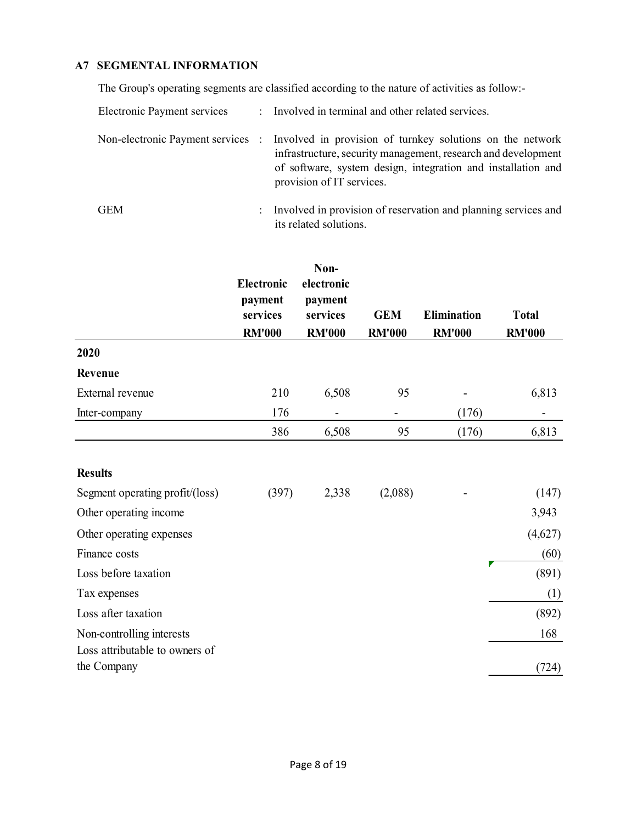# A7 SEGMENTAL INFORMATION

The Group's operating segments are classified according to the nature of activities as follow:-

| Electronic Payment services |                      | : Involved in terminal and other related services.                                                                                                                                                                                                        |
|-----------------------------|----------------------|-----------------------------------------------------------------------------------------------------------------------------------------------------------------------------------------------------------------------------------------------------------|
|                             |                      | Non-electronic Payment services : Involved in provision of turnkey solutions on the network<br>infrastructure, security management, research and development<br>of software, system design, integration and installation and<br>provision of IT services. |
| GEM                         | $\ddot{\phantom{0}}$ | Involved in provision of reservation and planning services and<br>its related solutions.                                                                                                                                                                  |

|                                               | <b>Electronic</b><br>payment<br>services<br><b>RM'000</b> | Non-<br>electronic<br>payment<br>services<br><b>RM'000</b> | <b>GEM</b><br><b>RM'000</b> | <b>Elimination</b><br><b>RM'000</b> | <b>Total</b><br><b>RM'000</b> |
|-----------------------------------------------|-----------------------------------------------------------|------------------------------------------------------------|-----------------------------|-------------------------------------|-------------------------------|
| 2020                                          |                                                           |                                                            |                             |                                     |                               |
| Revenue                                       |                                                           |                                                            |                             |                                     |                               |
| External revenue                              | 210                                                       | 6,508                                                      | 95                          |                                     | 6,813                         |
| Inter-company                                 | 176                                                       |                                                            |                             | (176)                               |                               |
|                                               | 386                                                       | 6,508                                                      | 95                          | (176)                               | 6,813                         |
| <b>Results</b>                                |                                                           |                                                            |                             |                                     |                               |
| Segment operating profit/(loss)               | (397)                                                     | 2,338                                                      | (2,088)                     |                                     | (147)                         |
| Other operating income                        |                                                           |                                                            |                             |                                     | 3,943                         |
| Other operating expenses                      |                                                           |                                                            |                             |                                     | (4,627)                       |
| Finance costs                                 |                                                           |                                                            |                             |                                     | (60)                          |
| Loss before taxation                          |                                                           |                                                            |                             |                                     | (891)                         |
| Tax expenses                                  |                                                           |                                                            |                             |                                     | (1)                           |
| Loss after taxation                           |                                                           |                                                            |                             |                                     | (892)                         |
| Non-controlling interests                     |                                                           |                                                            |                             |                                     | 168                           |
| Loss attributable to owners of<br>the Company |                                                           |                                                            |                             |                                     | (724)                         |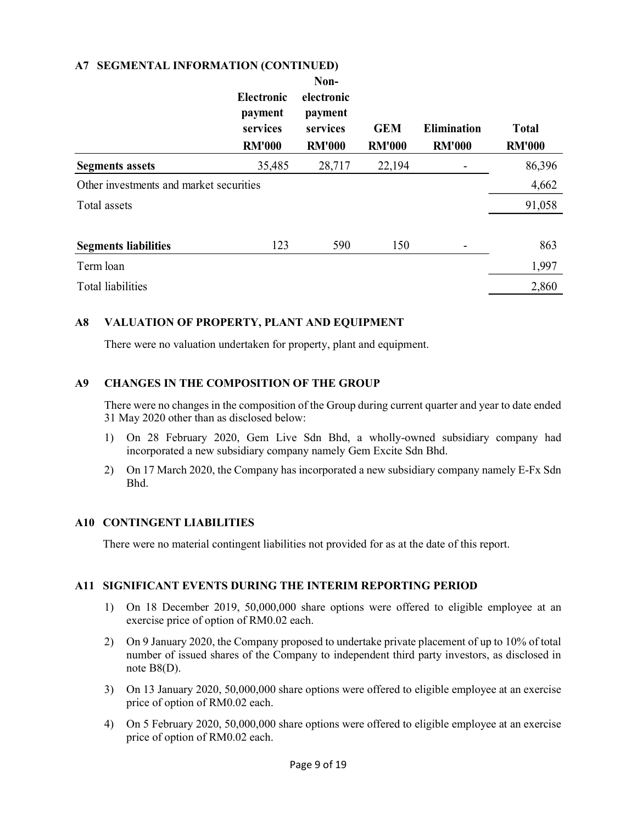## A7 SEGMENTAL INFORMATION (CONTINUED)

|                                         | <b>Electronic</b><br>payment<br>services<br><b>RM'000</b> | Non-<br>electronic<br>payment<br>services<br><b>RM'000</b> | <b>GEM</b><br><b>RM'000</b> | <b>Elimination</b><br><b>RM'000</b> | <b>Total</b><br><b>RM'000</b> |
|-----------------------------------------|-----------------------------------------------------------|------------------------------------------------------------|-----------------------------|-------------------------------------|-------------------------------|
| <b>Segments assets</b>                  | 35,485                                                    | 28,717                                                     | 22,194                      |                                     | 86,396                        |
| Other investments and market securities |                                                           |                                                            |                             |                                     | 4,662                         |
| Total assets                            |                                                           |                                                            |                             |                                     | 91,058                        |
| <b>Segments liabilities</b>             | 123                                                       | 590                                                        | 150                         |                                     | 863                           |
| Term loan                               |                                                           |                                                            |                             |                                     | 1,997                         |
| <b>Total liabilities</b>                |                                                           |                                                            |                             |                                     | 2,860                         |

## A8 VALUATION OF PROPERTY, PLANT AND EQUIPMENT

There were no valuation undertaken for property, plant and equipment.

## A9 CHANGES IN THE COMPOSITION OF THE GROUP

There were no changes in the composition of the Group during current quarter and year to date ended 31 May 2020 other than as disclosed below:

- 1) On 28 February 2020, Gem Live Sdn Bhd, a wholly-owned subsidiary company had incorporated a new subsidiary company namely Gem Excite Sdn Bhd.
- 2) On 17 March 2020, the Company has incorporated a new subsidiary company namely E-Fx Sdn Bhd.

#### A10 CONTINGENT LIABILITIES

There were no material contingent liabilities not provided for as at the date of this report.

#### A11 SIGNIFICANT EVENTS DURING THE INTERIM REPORTING PERIOD

- 1) On 18 December 2019, 50,000,000 share options were offered to eligible employee at an exercise price of option of RM0.02 each.
- 2) On 9 January 2020, the Company proposed to undertake private placement of up to 10% of total number of issued shares of the Company to independent third party investors, as disclosed in note B8(D).
- 3) On 13 January 2020, 50,000,000 share options were offered to eligible employee at an exercise price of option of RM0.02 each.
- 4) On 5 February 2020, 50,000,000 share options were offered to eligible employee at an exercise price of option of RM0.02 each.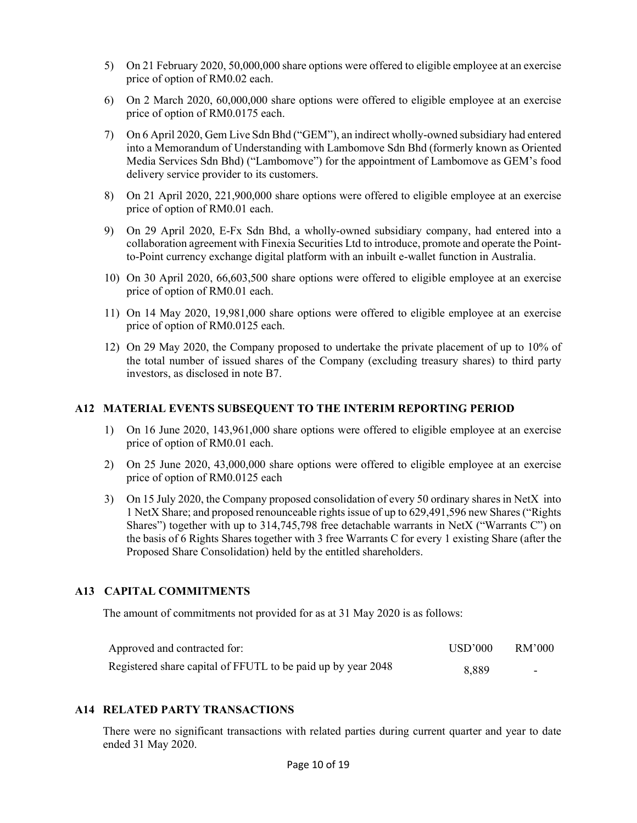- 5) On 21 February 2020, 50,000,000 share options were offered to eligible employee at an exercise price of option of RM0.02 each.
- 6) On 2 March 2020, 60,000,000 share options were offered to eligible employee at an exercise price of option of RM0.0175 each.
- 7) On 6 April 2020, Gem Live Sdn Bhd ("GEM"), an indirect wholly-owned subsidiary had entered into a Memorandum of Understanding with Lambomove Sdn Bhd (formerly known as Oriented Media Services Sdn Bhd) ("Lambomove") for the appointment of Lambomove as GEM's food delivery service provider to its customers.
- 8) On 21 April 2020, 221,900,000 share options were offered to eligible employee at an exercise price of option of RM0.01 each.
- 9) On 29 April 2020, E-Fx Sdn Bhd, a wholly-owned subsidiary company, had entered into a collaboration agreement with Finexia Securities Ltd to introduce, promote and operate the Pointto-Point currency exchange digital platform with an inbuilt e-wallet function in Australia.
- 10) On 30 April 2020, 66,603,500 share options were offered to eligible employee at an exercise price of option of RM0.01 each.
- 11) On 14 May 2020, 19,981,000 share options were offered to eligible employee at an exercise price of option of RM0.0125 each.
- 12) On 29 May 2020, the Company proposed to undertake the private placement of up to 10% of the total number of issued shares of the Company (excluding treasury shares) to third party investors, as disclosed in note B7.

#### A12 MATERIAL EVENTS SUBSEQUENT TO THE INTERIM REPORTING PERIOD

- 1) On 16 June 2020, 143,961,000 share options were offered to eligible employee at an exercise price of option of RM0.01 each.
- 2) On 25 June 2020, 43,000,000 share options were offered to eligible employee at an exercise price of option of RM0.0125 each
- 3) On 15 July 2020, the Company proposed consolidation of every 50 ordinary shares in NetX into 1 NetX Share; and proposed renounceable rights issue of up to 629,491,596 new Shares ("Rights Shares") together with up to 314,745,798 free detachable warrants in NetX ("Warrants C") on the basis of 6 Rights Shares together with 3 free Warrants C for every 1 existing Share (after the Proposed Share Consolidation) held by the entitled shareholders.

#### A13 CAPITAL COMMITMENTS

The amount of commitments not provided for as at 31 May 2020 is as follows:

| Approved and contracted for:                                 | USD'000 | RM'000 |
|--------------------------------------------------------------|---------|--------|
| Registered share capital of FFUTL to be paid up by year 2048 | 8.889   | -      |

#### A14 RELATED PARTY TRANSACTIONS

 There were no significant transactions with related parties during current quarter and year to date ended 31 May 2020.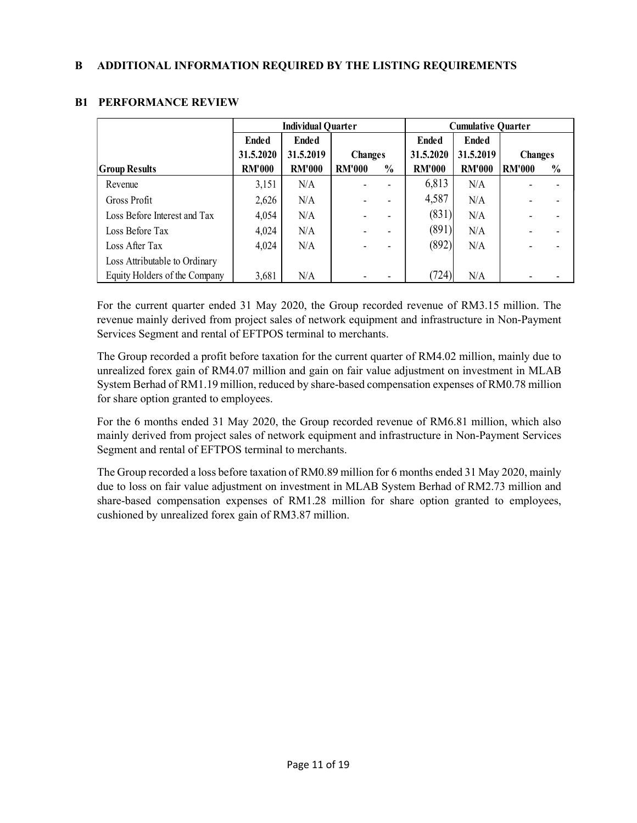|                               | <b>Individual Quarter</b> |               |                |               | <b>Cumulative Quarter</b> |               |                |               |
|-------------------------------|---------------------------|---------------|----------------|---------------|---------------------------|---------------|----------------|---------------|
|                               | <b>Ended</b>              | <b>Ended</b>  |                |               | <b>Ended</b>              | <b>Ended</b>  |                |               |
|                               | 31.5.2020                 | 31.5.2019     | <b>Changes</b> |               | 31.5.2020                 | 31.5.2019     | <b>Changes</b> |               |
| <b>Group Results</b>          | <b>RM'000</b>             | <b>RM'000</b> | <b>RM'000</b>  | $\frac{0}{0}$ | <b>RM'000</b>             | <b>RM'000</b> | <b>RM'000</b>  | $\frac{0}{0}$ |
| Revenue                       | 3,151                     | N/A           |                |               | 6,813                     | N/A           |                |               |
| Gross Profit                  | 2,626                     | N/A           |                |               | 4,587                     | N/A           |                |               |
| Loss Before Interest and Tax  | 4,054                     | N/A           |                |               | (831)                     | N/A           |                |               |
| Loss Before Tax               | 4,024                     | N/A           |                |               | (891)                     | N/A           |                |               |
| Loss After Tax                | 4,024                     | N/A           |                |               | (892)                     | N/A           |                |               |
| Loss Attributable to Ordinary |                           |               |                |               |                           |               |                |               |
| Equity Holders of the Company | 3,681                     | N/A           |                |               | (724)                     | N/A           |                |               |

# B1 PERFORMANCE REVIEW

For the current quarter ended 31 May 2020, the Group recorded revenue of RM3.15 million. The revenue mainly derived from project sales of network equipment and infrastructure in Non-Payment Services Segment and rental of EFTPOS terminal to merchants.

The Group recorded a profit before taxation for the current quarter of RM4.02 million, mainly due to unrealized forex gain of RM4.07 million and gain on fair value adjustment on investment in MLAB System Berhad of RM1.19 million, reduced by share-based compensation expenses of RM0.78 million for share option granted to employees.

For the 6 months ended 31 May 2020, the Group recorded revenue of RM6.81 million, which also mainly derived from project sales of network equipment and infrastructure in Non-Payment Services Segment and rental of EFTPOS terminal to merchants.

The Group recorded a loss before taxation of RM0.89 million for 6 months ended 31 May 2020, mainly due to loss on fair value adjustment on investment in MLAB System Berhad of RM2.73 million and share-based compensation expenses of RM1.28 million for share option granted to employees, cushioned by unrealized forex gain of RM3.87 million.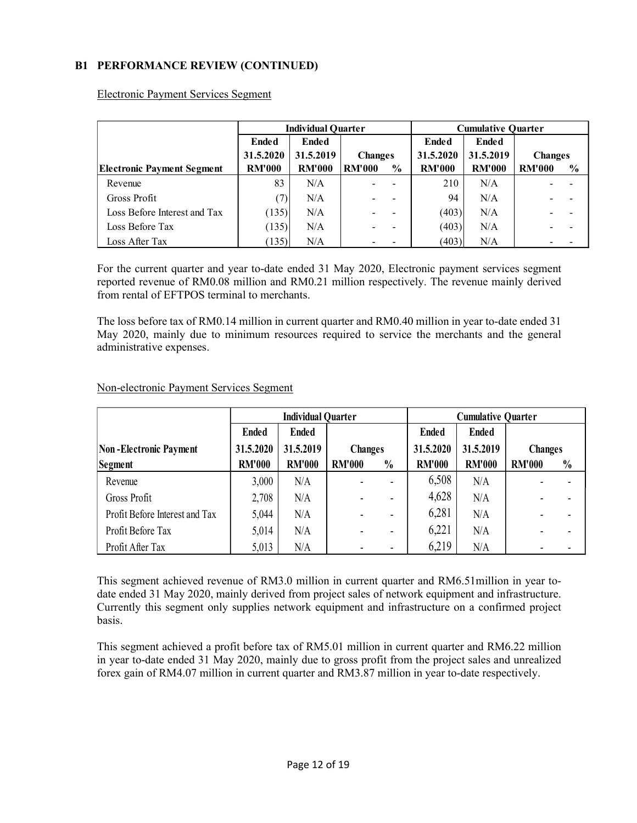# B1 PERFORMANCE REVIEW (CONTINUED)

|                                   | <b>Individual Quarter</b> |               |                | <b>Cumulative Quarter</b> |               |               |                |               |
|-----------------------------------|---------------------------|---------------|----------------|---------------------------|---------------|---------------|----------------|---------------|
|                                   | <b>Ended</b>              | <b>Ended</b>  |                |                           | Ended         | <b>Ended</b>  |                |               |
|                                   | 31.5.2020                 | 31.5.2019     | <b>Changes</b> |                           | 31.5.2020     | 31.5.2019     | <b>Changes</b> |               |
| <b>Electronic Payment Segment</b> | <b>RM'000</b>             | <b>RM'000</b> | <b>RM'000</b>  | $\frac{0}{0}$             | <b>RM'000</b> | <b>RM'000</b> | <b>RM'000</b>  | $\frac{6}{9}$ |
| Revenue                           | 83                        | N/A           |                |                           | 210           | N/A           |                |               |
| Gross Profit                      | (7)                       | N/A           |                |                           | 94            | N/A           |                |               |
| Loss Before Interest and Tax      | (135)                     | N/A           |                |                           | (403)         | N/A           |                |               |
| Loss Before Tax                   | (135)                     | N/A           |                |                           | (403)         | N/A           |                |               |
| Loss After Tax                    | (135)                     | N/A           |                |                           | (403)         | N/A           |                |               |

Electronic Payment Services Segment

For the current quarter and year to-date ended 31 May 2020, Electronic payment services segment reported revenue of RM0.08 million and RM0.21 million respectively. The revenue mainly derived from rental of EFTPOS terminal to merchants.

The loss before tax of RM0.14 million in current quarter and RM0.40 million in year to-date ended 31 May 2020, mainly due to minimum resources required to service the merchants and the general administrative expenses.

| Non-electronic Payment Services Segment |
|-----------------------------------------|
|                                         |

|                                | <b>Individual Quarter</b> |               |                | <b>Cumulative Quarter</b> |               |               |                |               |
|--------------------------------|---------------------------|---------------|----------------|---------------------------|---------------|---------------|----------------|---------------|
|                                | <b>Ended</b>              | <b>Ended</b>  |                |                           | <b>Ended</b>  | <b>Ended</b>  |                |               |
| Non-Electronic Payment         | 31.5.2020                 | 31.5.2019     | <b>Changes</b> |                           | 31.5.2020     | 31.5.2019     | <b>Changes</b> |               |
| Segment                        | <b>RM'000</b>             | <b>RM'000</b> | <b>RM'000</b>  | $\frac{0}{0}$             | <b>RM'000</b> | <b>RM'000</b> | <b>RM'000</b>  | $\frac{0}{0}$ |
| Revenue                        | 3,000                     | N/A           |                | ۳                         | 6,508         | N/A           |                |               |
| Gross Profit                   | 2,708                     | N/A           |                |                           | 4,628         | N/A           |                |               |
| Profit Before Interest and Tax | 5,044                     | N/A           |                | -                         | 6,281         | N/A           |                |               |
| Profit Before Tax              | 5,014                     | N/A           |                | -                         | 6,221         | N/A           |                |               |
| Profit After Tax               | 5,013                     | N/A           |                |                           | 6,219         | N/A           |                |               |

This segment achieved revenue of RM3.0 million in current quarter and RM6.51million in year todate ended 31 May 2020, mainly derived from project sales of network equipment and infrastructure. Currently this segment only supplies network equipment and infrastructure on a confirmed project basis.

This segment achieved a profit before tax of RM5.01 million in current quarter and RM6.22 million in year to-date ended 31 May 2020, mainly due to gross profit from the project sales and unrealized forex gain of RM4.07 million in current quarter and RM3.87 million in year to-date respectively.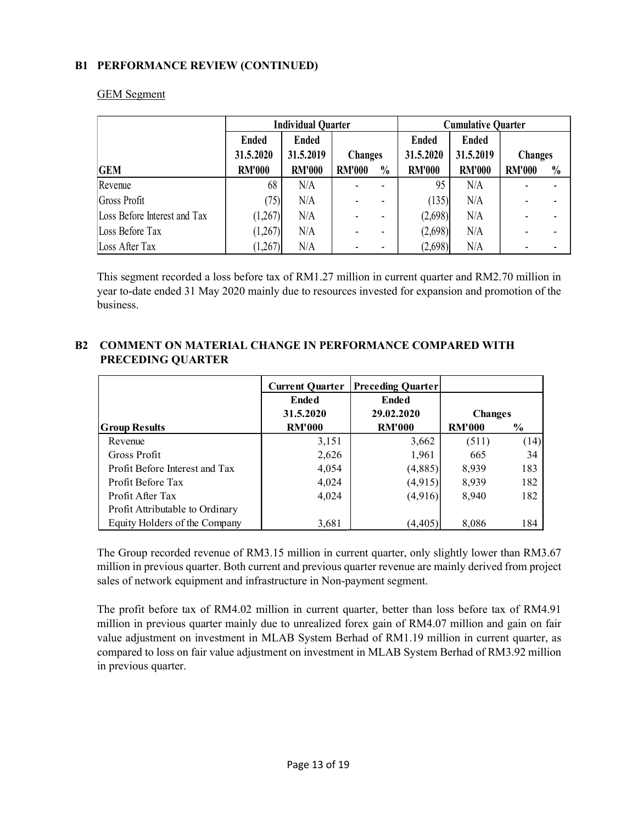# B1 PERFORMANCE REVIEW (CONTINUED)

|                              | <b>Individual Quarter</b> |               |                |               | <b>Cumulative Quarter</b> |               |                |               |
|------------------------------|---------------------------|---------------|----------------|---------------|---------------------------|---------------|----------------|---------------|
|                              | <b>Ended</b>              | <b>Ended</b>  |                |               | <b>Ended</b>              | <b>Ended</b>  |                |               |
|                              | 31.5.2020                 | 31.5.2019     | <b>Changes</b> |               | 31.5.2020                 | 31.5.2019     | <b>Changes</b> |               |
| <b>GEM</b>                   | <b>RM'000</b>             | <b>RM'000</b> | <b>RM'000</b>  | $\frac{0}{0}$ | <b>RM'000</b>             | <b>RM'000</b> | <b>RM'000</b>  | $\frac{0}{0}$ |
| Revenue                      | 68                        | N/A           |                |               | 95                        | N/A           |                |               |
| Gross Profit                 | (75)                      | N/A           |                |               | (135)                     | N/A           |                |               |
| Loss Before Interest and Tax | (1,267)                   | N/A           |                |               | (2,698)                   | N/A           |                |               |
| Loss Before Tax              | (1,267)                   | N/A           |                |               | (2,698)                   | N/A           |                |               |
| Loss After Tax               | (1,267)                   | N/A           |                |               | (2,698)                   | N/A           |                |               |

#### GEM Segment

This segment recorded a loss before tax of RM1.27 million in current quarter and RM2.70 million in year to-date ended 31 May 2020 mainly due to resources invested for expansion and promotion of the business.

# B2 COMMENT ON MATERIAL CHANGE IN PERFORMANCE COMPARED WITH PRECEDING QUARTER

|                                 | <b>Current Quarter</b> | <b>Preceding Quarter</b> |                |               |
|---------------------------------|------------------------|--------------------------|----------------|---------------|
|                                 | Ended                  | Ended                    |                |               |
|                                 | 31.5.2020              | 29.02.2020               | <b>Changes</b> |               |
| <b>Group Results</b>            | <b>RM'000</b>          | <b>RM'000</b>            | <b>RM'000</b>  | $\frac{6}{6}$ |
| Revenue                         | 3,151                  | 3,662                    | (511)          | (14)          |
| Gross Profit                    | 2,626                  | 1,961                    | 665            | 34            |
| Profit Before Interest and Tax  | 4,054                  | (4,885)                  | 8,939          | 183           |
| Profit Before Tax               | 4,024                  | (4,915)                  | 8,939          | 182           |
| Profit After Tax                | 4,024                  | (4,916)                  | 8.940          | 182           |
| Profit Attributable to Ordinary |                        |                          |                |               |
| Equity Holders of the Company   | 3,681                  | (4, 405)                 | 8,086          | 184           |

The Group recorded revenue of RM3.15 million in current quarter, only slightly lower than RM3.67 million in previous quarter. Both current and previous quarter revenue are mainly derived from project sales of network equipment and infrastructure in Non-payment segment.

The profit before tax of RM4.02 million in current quarter, better than loss before tax of RM4.91 million in previous quarter mainly due to unrealized forex gain of RM4.07 million and gain on fair value adjustment on investment in MLAB System Berhad of RM1.19 million in current quarter, as compared to loss on fair value adjustment on investment in MLAB System Berhad of RM3.92 million in previous quarter.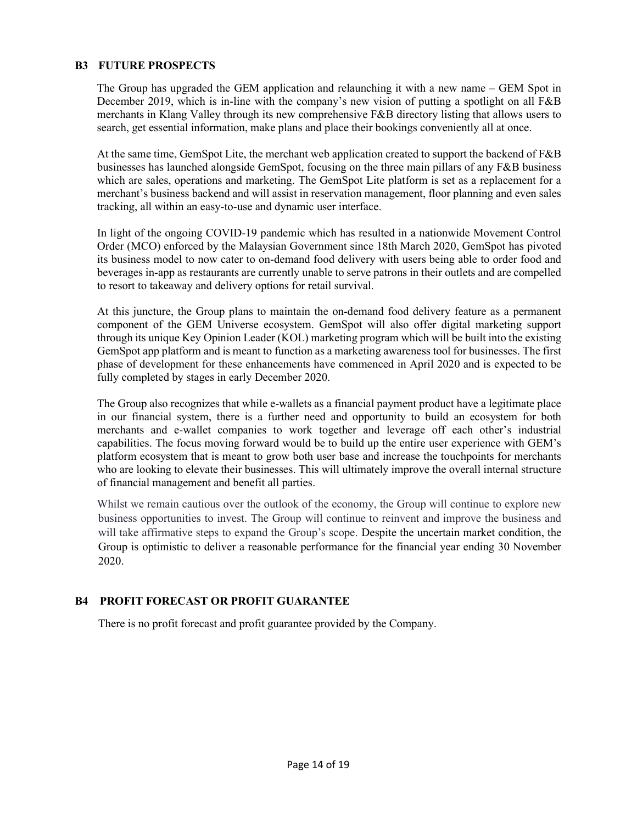# B3 FUTURE PROSPECTS

The Group has upgraded the GEM application and relaunching it with a new name – GEM Spot in December 2019, which is in-line with the company's new vision of putting a spotlight on all F&B merchants in Klang Valley through its new comprehensive F&B directory listing that allows users to search, get essential information, make plans and place their bookings conveniently all at once.

At the same time, GemSpot Lite, the merchant web application created to support the backend of F&B businesses has launched alongside GemSpot, focusing on the three main pillars of any F&B business which are sales, operations and marketing. The GemSpot Lite platform is set as a replacement for a merchant's business backend and will assist in reservation management, floor planning and even sales tracking, all within an easy-to-use and dynamic user interface.

In light of the ongoing COVID-19 pandemic which has resulted in a nationwide Movement Control Order (MCO) enforced by the Malaysian Government since 18th March 2020, GemSpot has pivoted its business model to now cater to on-demand food delivery with users being able to order food and beverages in-app as restaurants are currently unable to serve patrons in their outlets and are compelled to resort to takeaway and delivery options for retail survival.

At this juncture, the Group plans to maintain the on-demand food delivery feature as a permanent component of the GEM Universe ecosystem. GemSpot will also offer digital marketing support through its unique Key Opinion Leader (KOL) marketing program which will be built into the existing GemSpot app platform and is meant to function as a marketing awareness tool for businesses. The first phase of development for these enhancements have commenced in April 2020 and is expected to be fully completed by stages in early December 2020.

The Group also recognizes that while e-wallets as a financial payment product have a legitimate place in our financial system, there is a further need and opportunity to build an ecosystem for both merchants and e-wallet companies to work together and leverage off each other's industrial capabilities. The focus moving forward would be to build up the entire user experience with GEM's platform ecosystem that is meant to grow both user base and increase the touchpoints for merchants who are looking to elevate their businesses. This will ultimately improve the overall internal structure of financial management and benefit all parties.

Whilst we remain cautious over the outlook of the economy, the Group will continue to explore new business opportunities to invest. The Group will continue to reinvent and improve the business and will take affirmative steps to expand the Group's scope. Despite the uncertain market condition, the Group is optimistic to deliver a reasonable performance for the financial year ending 30 November 2020.

# B4 PROFIT FORECAST OR PROFIT GUARANTEE

There is no profit forecast and profit guarantee provided by the Company.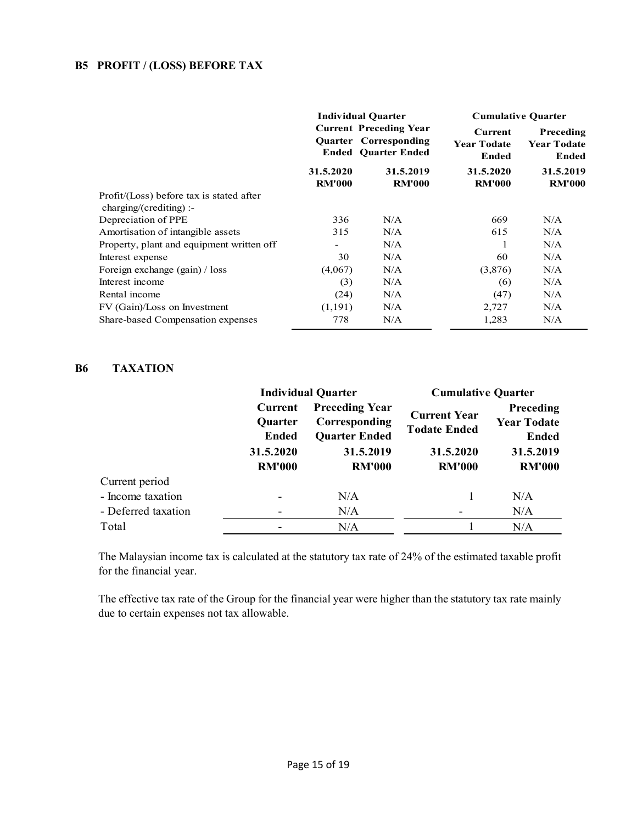# B5 PROFIT / (LOSS) BEFORE TAX

|                                                                      |                            | <b>Individual Quarter</b>                                                            | <b>Cumulative Quarter</b>                            |                                          |  |
|----------------------------------------------------------------------|----------------------------|--------------------------------------------------------------------------------------|------------------------------------------------------|------------------------------------------|--|
|                                                                      |                            | <b>Current Preceding Year</b><br>Quarter Corresponding<br><b>Ended Ouarter Ended</b> | <b>Current</b><br><b>Year Todate</b><br><b>Ended</b> | Preceding<br><b>Year Todate</b><br>Ended |  |
|                                                                      | 31.5.2020<br><b>RM'000</b> | 31.5.2019<br><b>RM'000</b>                                                           | 31.5.2020<br><b>RM'000</b>                           | 31.5.2019<br><b>RM'000</b>               |  |
| Profit/(Loss) before tax is stated after<br>$charging/(crediting)$ : |                            |                                                                                      |                                                      |                                          |  |
| Depreciation of PPE                                                  | 336                        | N/A                                                                                  | 669                                                  | N/A                                      |  |
| Amortisation of intangible assets                                    | 315                        | N/A                                                                                  | 615                                                  | N/A                                      |  |
| Property, plant and equipment written off                            | -                          | N/A                                                                                  |                                                      | N/A                                      |  |
| Interest expense                                                     | 30                         | N/A                                                                                  | 60                                                   | N/A                                      |  |
| Foreign exchange (gain) / loss                                       | (4,067)                    | N/A                                                                                  | (3,876)                                              | N/A                                      |  |
| Interest income                                                      | (3)                        | N/A                                                                                  | (6)                                                  | N/A                                      |  |
| Rental income                                                        | (24)                       | N/A                                                                                  | (47)                                                 | N/A                                      |  |
| FV (Gain)/Loss on Investment                                         | (1,191)                    | N/A                                                                                  | 2,727                                                | N/A                                      |  |
| Share-based Compensation expenses                                    | 778                        | N/A                                                                                  | 1,283                                                | N/A                                      |  |

## B6 TAXATION

|                     |                                                                         | <b>Individual Quarter</b>                                                                    | <b>Cumulative Quarter</b>                                                |                                                                               |  |
|---------------------|-------------------------------------------------------------------------|----------------------------------------------------------------------------------------------|--------------------------------------------------------------------------|-------------------------------------------------------------------------------|--|
|                     | Current<br><b>Quarter</b><br><b>Ended</b><br>31.5.2020<br><b>RM'000</b> | <b>Preceding Year</b><br>Corresponding<br><b>Quarter Ended</b><br>31.5.2019<br><b>RM'000</b> | <b>Current Year</b><br><b>Todate Ended</b><br>31.5.2020<br><b>RM'000</b> | Preceding<br><b>Year Todate</b><br><b>Ended</b><br>31.5.2019<br><b>RM'000</b> |  |
| Current period      |                                                                         |                                                                                              |                                                                          |                                                                               |  |
| - Income taxation   |                                                                         | N/A                                                                                          |                                                                          | N/A                                                                           |  |
| - Deferred taxation |                                                                         | N/A                                                                                          |                                                                          | N/A                                                                           |  |
| Total               |                                                                         | N/A                                                                                          |                                                                          | N/A                                                                           |  |

 The Malaysian income tax is calculated at the statutory tax rate of 24% of the estimated taxable profit for the financial year.

 The effective tax rate of the Group for the financial year were higher than the statutory tax rate mainly due to certain expenses not tax allowable.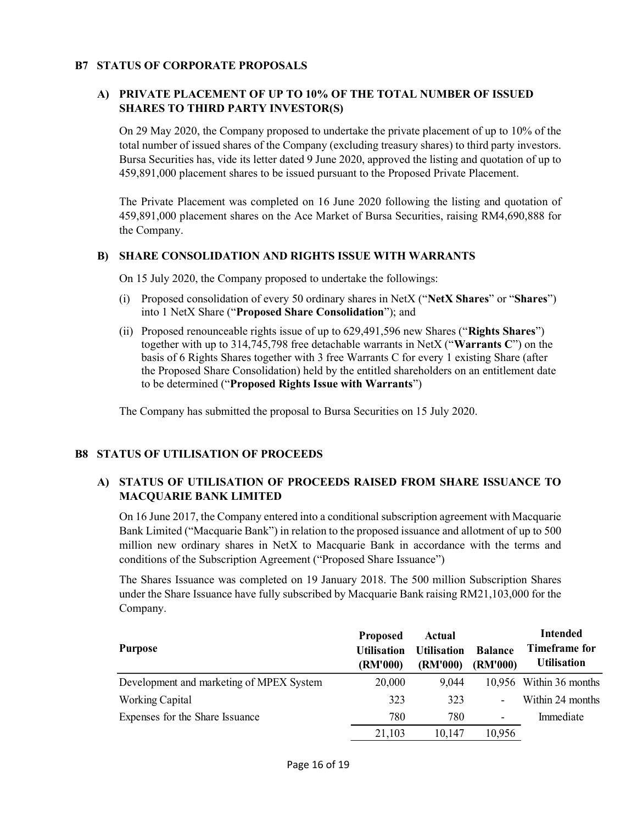## B7 STATUS OF CORPORATE PROPOSALS

# A) PRIVATE PLACEMENT OF UP TO 10% OF THE TOTAL NUMBER OF ISSUED SHARES TO THIRD PARTY INVESTOR(S)

On 29 May 2020, the Company proposed to undertake the private placement of up to 10% of the total number of issued shares of the Company (excluding treasury shares) to third party investors. Bursa Securities has, vide its letter dated 9 June 2020, approved the listing and quotation of up to 459,891,000 placement shares to be issued pursuant to the Proposed Private Placement.

The Private Placement was completed on 16 June 2020 following the listing and quotation of 459,891,000 placement shares on the Ace Market of Bursa Securities, raising RM4,690,888 for the Company.

#### B) SHARE CONSOLIDATION AND RIGHTS ISSUE WITH WARRANTS

On 15 July 2020, the Company proposed to undertake the followings:

- (i) Proposed consolidation of every 50 ordinary shares in NetX ("NetX Shares" or "Shares") into 1 NetX Share ("Proposed Share Consolidation"); and
- (ii) Proposed renounceable rights issue of up to 629,491,596 new Shares ("Rights Shares") together with up to 314,745,798 free detachable warrants in NetX ("Warrants C") on the basis of 6 Rights Shares together with 3 free Warrants C for every 1 existing Share (after the Proposed Share Consolidation) held by the entitled shareholders on an entitlement date to be determined ("Proposed Rights Issue with Warrants")

The Company has submitted the proposal to Bursa Securities on 15 July 2020.

#### B8 STATUS OF UTILISATION OF PROCEEDS

# A) STATUS OF UTILISATION OF PROCEEDS RAISED FROM SHARE ISSUANCE TO MACQUARIE BANK LIMITED

On 16 June 2017, the Company entered into a conditional subscription agreement with Macquarie Bank Limited ("Macquarie Bank") in relation to the proposed issuance and allotment of up to 500 million new ordinary shares in NetX to Macquarie Bank in accordance with the terms and conditions of the Subscription Agreement ("Proposed Share Issuance")

The Shares Issuance was completed on 19 January 2018. The 500 million Subscription Shares under the Share Issuance have fully subscribed by Macquarie Bank raising RM21,103,000 for the Company.

| <b>Purpose</b>                           | <b>Proposed</b><br><b>Utilisation</b><br>(RM'000) | Actual<br><b>Utilisation</b><br>(RM'000) | <b>Balance</b><br>(RM'000) | <b>Intended</b><br>Timeframe for<br><b>Utilisation</b> |
|------------------------------------------|---------------------------------------------------|------------------------------------------|----------------------------|--------------------------------------------------------|
| Development and marketing of MPEX System | 20,000                                            | 9,044                                    |                            | 10,956 Within 36 months                                |
| Working Capital                          | 323                                               | 323                                      | $\overline{\phantom{a}}$   | Within 24 months                                       |
| Expenses for the Share Issuance          | 780                                               | 780                                      | $\overline{\phantom{a}}$   | Immediate                                              |
|                                          | 21,103                                            | 10,147                                   | 10,956                     |                                                        |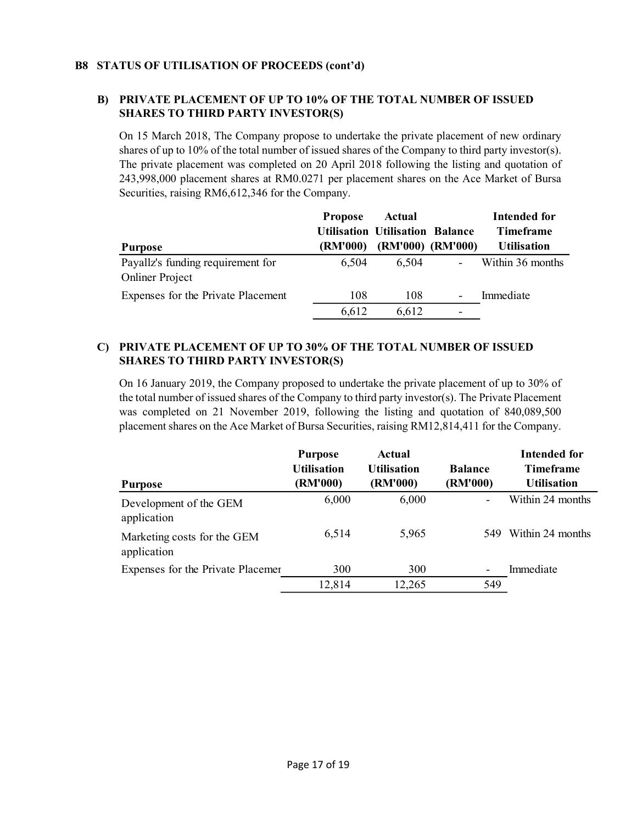## B8 STATUS OF UTILISATION OF PROCEEDS (cont'd)

# B) PRIVATE PLACEMENT OF UP TO 10% OF THE TOTAL NUMBER OF ISSUED SHARES TO THIRD PARTY INVESTOR(S)

On 15 March 2018, The Company propose to undertake the private placement of new ordinary shares of up to 10% of the total number of issued shares of the Company to third party investor(s). The private placement was completed on 20 April 2018 following the listing and quotation of 243,998,000 placement shares at RM0.0271 per placement shares on the Ace Market of Bursa Securities, raising RM6,612,346 for the Company.

|                                                             | <b>Propose</b> | Actual                                 |                          | Intended for       |
|-------------------------------------------------------------|----------------|----------------------------------------|--------------------------|--------------------|
|                                                             |                | <b>Utilisation Utilisation Balance</b> |                          | <b>Timeframe</b>   |
| <b>Purpose</b>                                              | (RM'000)       |                                        | (RM'000) (RM'000)        | <b>Utilisation</b> |
| Payallz's funding requirement for<br><b>Onliner Project</b> | 6.504          | 6,504                                  | $\overline{\phantom{a}}$ | Within 36 months   |
| Expenses for the Private Placement                          | 108            | 108                                    | $\overline{\phantom{a}}$ | Immediate          |
|                                                             | 6,612          | 6,612                                  | -                        |                    |

# C) PRIVATE PLACEMENT OF UP TO 30% OF THE TOTAL NUMBER OF ISSUED SHARES TO THIRD PARTY INVESTOR(S)

On 16 January 2019, the Company proposed to undertake the private placement of up to 30% of the total number of issued shares of the Company to third party investor(s). The Private Placement was completed on 21 November 2019, following the listing and quotation of 840,089,500 placement shares on the Ace Market of Bursa Securities, raising RM12,814,411 for the Company.

|                                            | <b>Purpose</b><br><b>Utilisation</b> | Actual<br><b>Utilisation</b> | <b>Balance</b>               | Intended for<br><b>Timeframe</b> |
|--------------------------------------------|--------------------------------------|------------------------------|------------------------------|----------------------------------|
| <b>Purpose</b>                             | (RM'000)                             | (RM'000)                     | (RM'000)                     | <b>Utilisation</b>               |
| Development of the GEM<br>application      | 6,000                                | 6,000                        | $\overline{\phantom{0}}$     | Within 24 months                 |
| Marketing costs for the GEM<br>application | 6,514                                | 5,965                        | 549                          | Within 24 months                 |
| Expenses for the Private Placemer          | 300                                  | 300                          | $\qquad \qquad \blacksquare$ | Immediate                        |
|                                            | 12,814                               | 12,265                       | 549                          |                                  |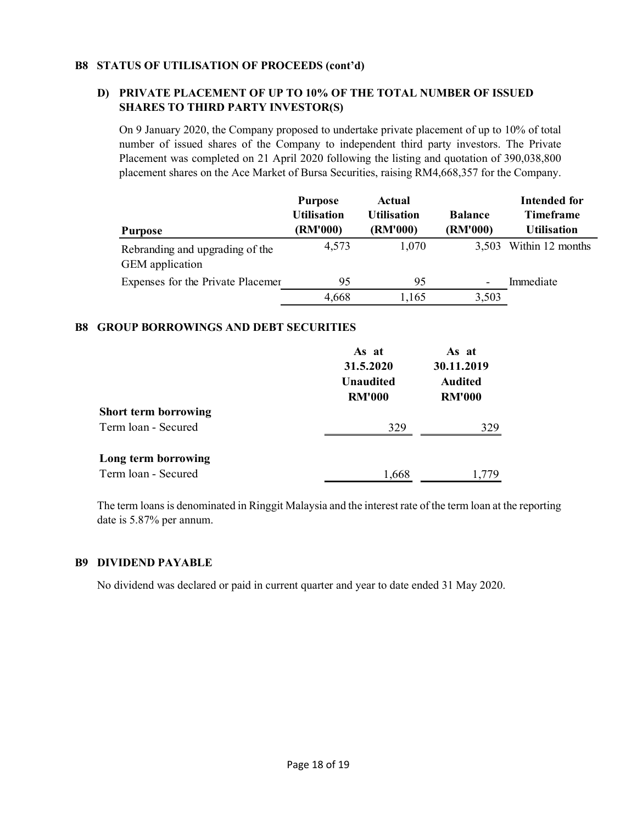## B8 STATUS OF UTILISATION OF PROCEEDS (cont'd)

# D) PRIVATE PLACEMENT OF UP TO 10% OF THE TOTAL NUMBER OF ISSUED SHARES TO THIRD PARTY INVESTOR(S)

On 9 January 2020, the Company proposed to undertake private placement of up to 10% of total number of issued shares of the Company to independent third party investors. The Private Placement was completed on 21 April 2020 following the listing and quotation of 390,038,800 placement shares on the Ace Market of Bursa Securities, raising RM4,668,357 for the Company.

|                                                    | <b>Purpose</b><br><b>Utilisation</b> | Actual<br><b>Utilisation</b> | <b>Balance</b>           | <b>Intended for</b><br><b>Timeframe</b> |
|----------------------------------------------------|--------------------------------------|------------------------------|--------------------------|-----------------------------------------|
| <b>Purpose</b>                                     | (RM'000)                             | (RM'000)                     | (RM'000)                 | <b>Utilisation</b>                      |
| Rebranding and upgrading of the<br>GEM application | 4,573                                | 1,070                        | 3,503                    | Within 12 months                        |
| Expenses for the Private Placemer                  | 95                                   | 95                           | $\overline{\phantom{a}}$ | Immediate                               |
|                                                    | 4,668                                | 1,165                        | 3,503                    |                                         |

#### B8 GROUP BORROWINGS AND DEBT SECURITIES

|                             | As at<br>31.5.2020<br><b>Unaudited</b><br><b>RM'000</b> | As at<br>30.11.2019<br><b>Audited</b><br><b>RM'000</b> |  |
|-----------------------------|---------------------------------------------------------|--------------------------------------------------------|--|
| <b>Short term borrowing</b> |                                                         |                                                        |  |
| Term loan - Secured         | 329                                                     | 329                                                    |  |
| Long term borrowing         |                                                         |                                                        |  |
| Term loan - Secured         | 1,668                                                   | l 779                                                  |  |

The term loans is denominated in Ringgit Malaysia and the interest rate of the term loan at the reporting date is 5.87% per annum.

# B9 DIVIDEND PAYABLE

No dividend was declared or paid in current quarter and year to date ended 31 May 2020.